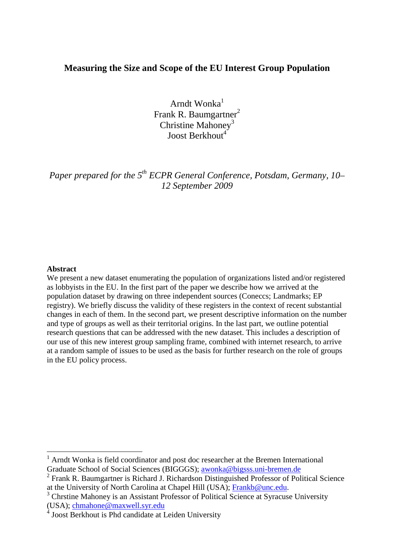# **Measuring the Size and Scope of the EU Interest Group Population**

Arndt Wonka $<sup>1</sup>$ </sup> Frank R. Baumgartner<sup>2</sup> Christine Mahoney<sup>3</sup> Joost Berkhout<sup>4</sup>

*Paper prepared for the 5th ECPR General Conference, Potsdam, Germany, 10– 12 September 2009* 

#### **Abstract**

 $\overline{a}$ 

We present a new dataset enumerating the population of organizations listed and/or registered as lobbyists in the EU. In the first part of the paper we describe how we arrived at the population dataset by drawing on three independent sources (Coneccs; Landmarks; EP registry). We briefly discuss the validity of these registers in the context of recent substantial changes in each of them. In the second part, we present descriptive information on the number and type of groups as well as their territorial origins. In the last part, we outline potential research questions that can be addressed with the new dataset. This includes a description of our use of this new interest group sampling frame, combined with internet research, to arrive at a random sample of issues to be used as the basis for further research on the role of groups in the EU policy process.

<sup>&</sup>lt;sup>1</sup> Arndt Wonka is field coordinator and post doc researcher at the Bremen International Graduate School of Social Sciences (BIGGGS); awonka@bigsss.uni-bremen.de

<sup>&</sup>lt;sup>2</sup> Frank R. Baumgartner is Richard J. Richardson Distinguished Professor of Political Science at the University of North Carolina at Chapel Hill (USA); Frankb@unc.edu.

<sup>&</sup>lt;sup>3</sup> Chrstine Mahoney is an Assistant Professor of Political Science at Syracuse University (USA); chmahone@maxwell.syr.edu

<sup>&</sup>lt;sup>4</sup> Joost Berkhout is Phd candidate at Leiden University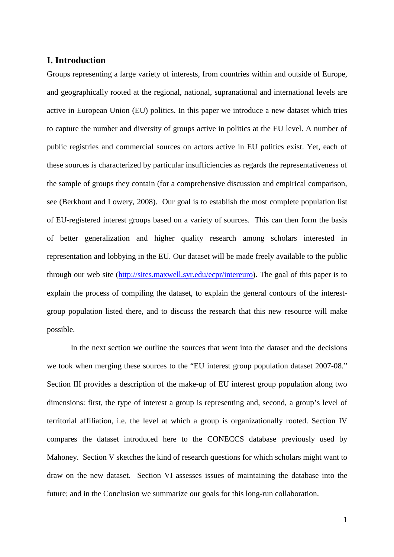# **I. Introduction**

Groups representing a large variety of interests, from countries within and outside of Europe, and geographically rooted at the regional, national, supranational and international levels are active in European Union (EU) politics. In this paper we introduce a new dataset which tries to capture the number and diversity of groups active in politics at the EU level. A number of public registries and commercial sources on actors active in EU politics exist. Yet, each of these sources is characterized by particular insufficiencies as regards the representativeness of the sample of groups they contain (for a comprehensive discussion and empirical comparison, see (Berkhout and Lowery, 2008). Our goal is to establish the most complete population list of EU-registered interest groups based on a variety of sources. This can then form the basis of better generalization and higher quality research among scholars interested in representation and lobbying in the EU. Our dataset will be made freely available to the public through our web site (http://sites.maxwell.syr.edu/ecpr/intereuro). The goal of this paper is to explain the process of compiling the dataset, to explain the general contours of the interestgroup population listed there, and to discuss the research that this new resource will make possible.

In the next section we outline the sources that went into the dataset and the decisions we took when merging these sources to the "EU interest group population dataset 2007-08." Section III provides a description of the make-up of EU interest group population along two dimensions: first, the type of interest a group is representing and, second, a group's level of territorial affiliation, i.e. the level at which a group is organizationally rooted. Section IV compares the dataset introduced here to the CONECCS database previously used by Mahoney. Section V sketches the kind of research questions for which scholars might want to draw on the new dataset. Section VI assesses issues of maintaining the database into the future; and in the Conclusion we summarize our goals for this long-run collaboration.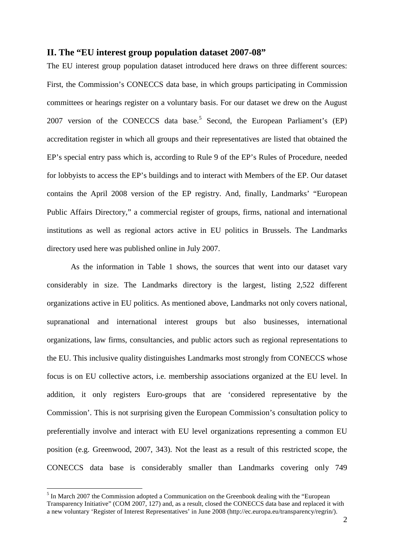# **II. The "EU interest group population dataset 2007-08"**

The EU interest group population dataset introduced here draws on three different sources: First, the Commission's CONECCS data base, in which groups participating in Commission committees or hearings register on a voluntary basis. For our dataset we drew on the August 2007 version of the CONECCS data base.<sup>5</sup> Second, the European Parliament's  $(EP)$ accreditation register in which all groups and their representatives are listed that obtained the EP's special entry pass which is, according to Rule 9 of the EP's Rules of Procedure, needed for lobbyists to access the EP's buildings and to interact with Members of the EP. Our dataset contains the April 2008 version of the EP registry. And, finally, Landmarks' "European Public Affairs Directory," a commercial register of groups, firms, national and international institutions as well as regional actors active in EU politics in Brussels. The Landmarks directory used here was published online in July 2007.

As the information in Table 1 shows, the sources that went into our dataset vary considerably in size. The Landmarks directory is the largest, listing 2,522 different organizations active in EU politics. As mentioned above, Landmarks not only covers national, supranational and international interest groups but also businesses, international organizations, law firms, consultancies, and public actors such as regional representations to the EU. This inclusive quality distinguishes Landmarks most strongly from CONECCS whose focus is on EU collective actors, i.e. membership associations organized at the EU level. In addition, it only registers Euro-groups that are 'considered representative by the Commission'. This is not surprising given the European Commission's consultation policy to preferentially involve and interact with EU level organizations representing a common EU position (e.g. Greenwood, 2007, 343). Not the least as a result of this restricted scope, the CONECCS data base is considerably smaller than Landmarks covering only 749

 $\overline{a}$ 

 $<sup>5</sup>$  In March 2007 the Commission adopted a Communication on the Greenbook dealing with the "European"</sup> Transparency Initiative" (COM 2007, 127) and, as a result, closed the CONECCS data base and replaced it with a new voluntary 'Register of Interest Representatives' in June 2008 (http://ec.europa.eu/transparency/regrin/).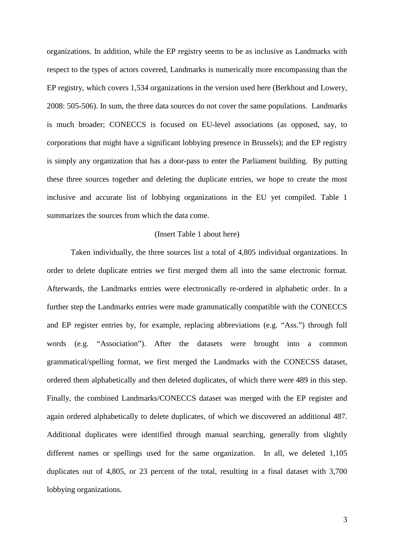organizations. In addition, while the EP registry seems to be as inclusive as Landmarks with respect to the types of actors covered, Landmarks is numerically more encompassing than the EP registry, which covers 1,534 organizations in the version used here (Berkhout and Lowery, 2008: 505-506). In sum, the three data sources do not cover the same populations. Landmarks is much broader; CONECCS is focused on EU-level associations (as opposed, say, to corporations that might have a significant lobbying presence in Brussels); and the EP registry is simply any organization that has a door-pass to enter the Parliament building. By putting these three sources together and deleting the duplicate entries, we hope to create the most inclusive and accurate list of lobbying organizations in the EU yet compiled. Table 1 summarizes the sources from which the data come.

#### (Insert Table 1 about here)

Taken individually, the three sources list a total of 4,805 individual organizations. In order to delete duplicate entries we first merged them all into the same electronic format. Afterwards, the Landmarks entries were electronically re-ordered in alphabetic order. In a further step the Landmarks entries were made grammatically compatible with the CONECCS and EP register entries by, for example, replacing abbreviations (e.g. "Ass.") through full words (e.g. "Association"). After the datasets were brought into a common grammatical/spelling format, we first merged the Landmarks with the CONECSS dataset, ordered them alphabetically and then deleted duplicates, of which there were 489 in this step. Finally, the combined Landmarks/CONECCS dataset was merged with the EP register and again ordered alphabetically to delete duplicates, of which we discovered an additional 487. Additional duplicates were identified through manual searching, generally from slightly different names or spellings used for the same organization. In all, we deleted 1,105 duplicates out of 4,805, or 23 percent of the total, resulting in a final dataset with 3,700 lobbying organizations.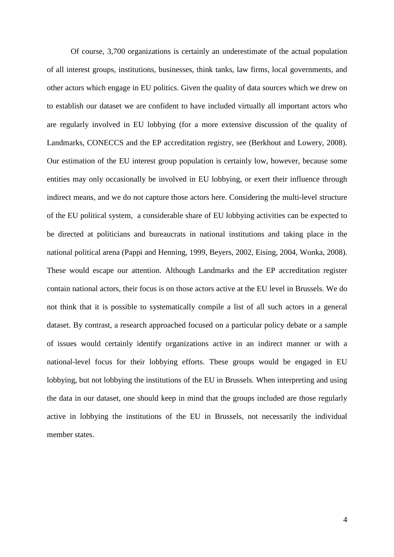Of course, 3,700 organizations is certainly an underestimate of the actual population of all interest groups, institutions, businesses, think tanks, law firms, local governments, and other actors which engage in EU politics. Given the quality of data sources which we drew on to establish our dataset we are confident to have included virtually all important actors who are regularly involved in EU lobbying (for a more extensive discussion of the quality of Landmarks, CONECCS and the EP accreditation registry, see (Berkhout and Lowery, 2008). Our estimation of the EU interest group population is certainly low, however, because some entities may only occasionally be involved in EU lobbying, or exert their influence through indirect means, and we do not capture those actors here. Considering the multi-level structure of the EU political system, a considerable share of EU lobbying activities can be expected to be directed at politicians and bureaucrats in national institutions and taking place in the national political arena (Pappi and Henning, 1999, Beyers, 2002, Eising, 2004, Wonka, 2008). These would escape our attention. Although Landmarks and the EP accreditation register contain national actors, their focus is on those actors active at the EU level in Brussels. We do not think that it is possible to systematically compile a list of all such actors in a general dataset. By contrast, a research approached focused on a particular policy debate or a sample of issues would certainly identify organizations active in an indirect manner or with a national-level focus for their lobbying efforts. These groups would be engaged in EU lobbying, but not lobbying the institutions of the EU in Brussels. When interpreting and using the data in our dataset, one should keep in mind that the groups included are those regularly active in lobbying the institutions of the EU in Brussels, not necessarily the individual member states.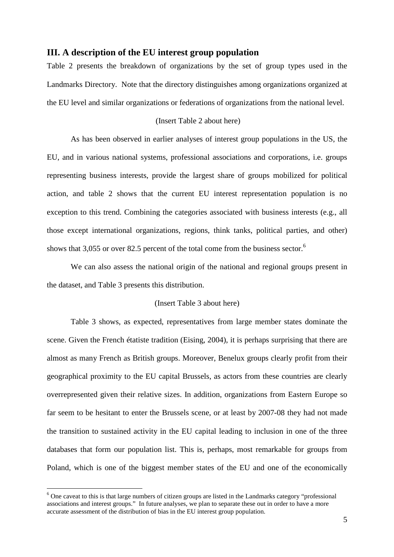### **III. A description of the EU interest group population**

Table 2 presents the breakdown of organizations by the set of group types used in the Landmarks Directory. Note that the directory distinguishes among organizations organized at the EU level and similar organizations or federations of organizations from the national level.

#### (Insert Table 2 about here)

As has been observed in earlier analyses of interest group populations in the US, the EU, and in various national systems, professional associations and corporations, i.e. groups representing business interests, provide the largest share of groups mobilized for political action, and table 2 shows that the current EU interest representation population is no exception to this trend. Combining the categories associated with business interests (e.g., all those except international organizations, regions, think tanks, political parties, and other) shows that 3,055 or over 82.5 percent of the total come from the business sector.<sup>6</sup>

We can also assess the national origin of the national and regional groups present in the dataset, and Table 3 presents this distribution.

### (Insert Table 3 about here)

Table 3 shows, as expected, representatives from large member states dominate the scene. Given the French étatiste tradition (Eising, 2004), it is perhaps surprising that there are almost as many French as British groups. Moreover, Benelux groups clearly profit from their geographical proximity to the EU capital Brussels, as actors from these countries are clearly overrepresented given their relative sizes. In addition, organizations from Eastern Europe so far seem to be hesitant to enter the Brussels scene, or at least by 2007-08 they had not made the transition to sustained activity in the EU capital leading to inclusion in one of the three databases that form our population list. This is, perhaps, most remarkable for groups from Poland, which is one of the biggest member states of the EU and one of the economically

 $\overline{a}$ 

<sup>&</sup>lt;sup>6</sup> One caveat to this is that large numbers of citizen groups are listed in the Landmarks category "professional associations and interest groups." In future analyses, we plan to separate these out in order to have a more accurate assessment of the distribution of bias in the EU interest group population.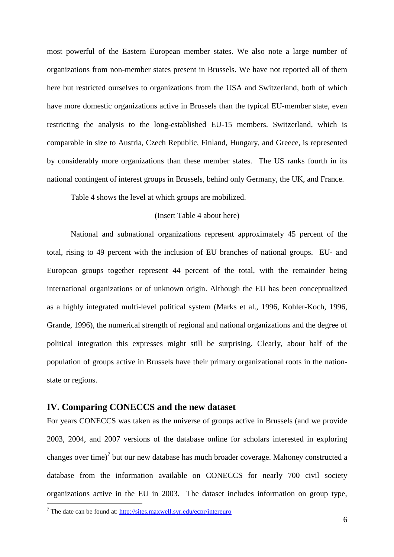most powerful of the Eastern European member states. We also note a large number of organizations from non-member states present in Brussels. We have not reported all of them here but restricted ourselves to organizations from the USA and Switzerland, both of which have more domestic organizations active in Brussels than the typical EU-member state, even restricting the analysis to the long-established EU-15 members. Switzerland, which is comparable in size to Austria, Czech Republic, Finland, Hungary, and Greece, is represented by considerably more organizations than these member states. The US ranks fourth in its national contingent of interest groups in Brussels, behind only Germany, the UK, and France.

Table 4 shows the level at which groups are mobilized.

## (Insert Table 4 about here)

National and subnational organizations represent approximately 45 percent of the total, rising to 49 percent with the inclusion of EU branches of national groups. EU- and European groups together represent 44 percent of the total, with the remainder being international organizations or of unknown origin. Although the EU has been conceptualized as a highly integrated multi-level political system (Marks et al., 1996, Kohler-Koch, 1996, Grande, 1996), the numerical strength of regional and national organizations and the degree of political integration this expresses might still be surprising. Clearly, about half of the population of groups active in Brussels have their primary organizational roots in the nationstate or regions.

## **IV. Comparing CONECCS and the new dataset**

For years CONECCS was taken as the universe of groups active in Brussels (and we provide 2003, 2004, and 2007 versions of the database online for scholars interested in exploring changes over time)<sup>7</sup> but our new database has much broader coverage. Mahoney constructed a database from the information available on CONECCS for nearly 700 civil society organizations active in the EU in 2003. The dataset includes information on group type,

<sup>&</sup>lt;sup>7</sup> The date can be found at: http://sites.maxwell.syr.edu/ecpr/intereuro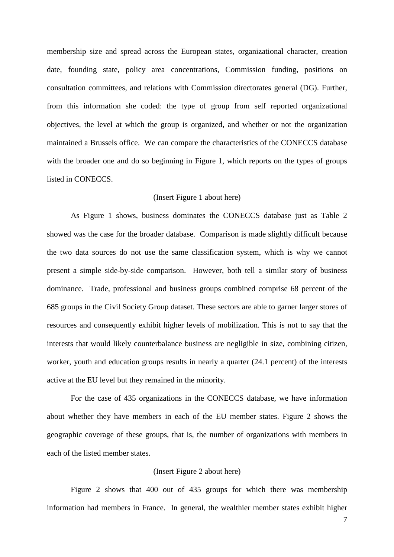membership size and spread across the European states, organizational character, creation date, founding state, policy area concentrations, Commission funding, positions on consultation committees, and relations with Commission directorates general (DG). Further, from this information she coded: the type of group from self reported organizational objectives, the level at which the group is organized, and whether or not the organization maintained a Brussels office. We can compare the characteristics of the CONECCS database with the broader one and do so beginning in Figure 1, which reports on the types of groups listed in CONECCS.

#### (Insert Figure 1 about here)

As Figure 1 shows, business dominates the CONECCS database just as Table 2 showed was the case for the broader database. Comparison is made slightly difficult because the two data sources do not use the same classification system, which is why we cannot present a simple side-by-side comparison. However, both tell a similar story of business dominance. Trade, professional and business groups combined comprise 68 percent of the 685 groups in the Civil Society Group dataset. These sectors are able to garner larger stores of resources and consequently exhibit higher levels of mobilization. This is not to say that the interests that would likely counterbalance business are negligible in size, combining citizen, worker, youth and education groups results in nearly a quarter (24.1 percent) of the interests active at the EU level but they remained in the minority.

For the case of 435 organizations in the CONECCS database, we have information about whether they have members in each of the EU member states. Figure 2 shows the geographic coverage of these groups, that is, the number of organizations with members in each of the listed member states.

#### (Insert Figure 2 about here)

Figure 2 shows that 400 out of 435 groups for which there was membership information had members in France. In general, the wealthier member states exhibit higher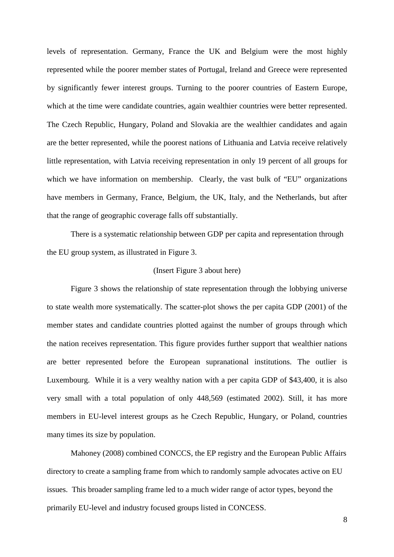levels of representation. Germany, France the UK and Belgium were the most highly represented while the poorer member states of Portugal, Ireland and Greece were represented by significantly fewer interest groups. Turning to the poorer countries of Eastern Europe, which at the time were candidate countries, again wealthier countries were better represented. The Czech Republic, Hungary, Poland and Slovakia are the wealthier candidates and again are the better represented, while the poorest nations of Lithuania and Latvia receive relatively little representation, with Latvia receiving representation in only 19 percent of all groups for which we have information on membership. Clearly, the vast bulk of "EU" organizations have members in Germany, France, Belgium, the UK, Italy, and the Netherlands, but after that the range of geographic coverage falls off substantially.

There is a systematic relationship between GDP per capita and representation through the EU group system, as illustrated in Figure 3.

### (Insert Figure 3 about here)

Figure 3 shows the relationship of state representation through the lobbying universe to state wealth more systematically. The scatter-plot shows the per capita GDP (2001) of the member states and candidate countries plotted against the number of groups through which the nation receives representation. This figure provides further support that wealthier nations are better represented before the European supranational institutions. The outlier is Luxembourg. While it is a very wealthy nation with a per capita GDP of \$43,400, it is also very small with a total population of only 448,569 (estimated 2002). Still, it has more members in EU-level interest groups as he Czech Republic, Hungary, or Poland, countries many times its size by population.

Mahoney (2008) combined CONCCS, the EP registry and the European Public Affairs directory to create a sampling frame from which to randomly sample advocates active on EU issues. This broader sampling frame led to a much wider range of actor types, beyond the primarily EU-level and industry focused groups listed in CONCESS.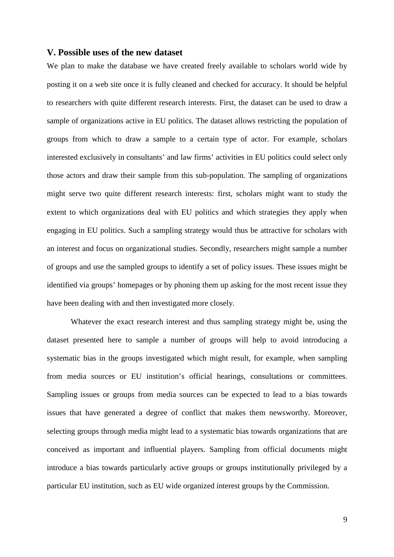#### **V. Possible uses of the new dataset**

We plan to make the database we have created freely available to scholars world wide by posting it on a web site once it is fully cleaned and checked for accuracy. It should be helpful to researchers with quite different research interests. First, the dataset can be used to draw a sample of organizations active in EU politics. The dataset allows restricting the population of groups from which to draw a sample to a certain type of actor. For example, scholars interested exclusively in consultants' and law firms' activities in EU politics could select only those actors and draw their sample from this sub-population. The sampling of organizations might serve two quite different research interests: first, scholars might want to study the extent to which organizations deal with EU politics and which strategies they apply when engaging in EU politics. Such a sampling strategy would thus be attractive for scholars with an interest and focus on organizational studies. Secondly, researchers might sample a number of groups and use the sampled groups to identify a set of policy issues. These issues might be identified via groups' homepages or by phoning them up asking for the most recent issue they have been dealing with and then investigated more closely.

Whatever the exact research interest and thus sampling strategy might be, using the dataset presented here to sample a number of groups will help to avoid introducing a systematic bias in the groups investigated which might result, for example, when sampling from media sources or EU institution's official hearings, consultations or committees. Sampling issues or groups from media sources can be expected to lead to a bias towards issues that have generated a degree of conflict that makes them newsworthy. Moreover, selecting groups through media might lead to a systematic bias towards organizations that are conceived as important and influential players. Sampling from official documents might introduce a bias towards particularly active groups or groups institutionally privileged by a particular EU institution, such as EU wide organized interest groups by the Commission.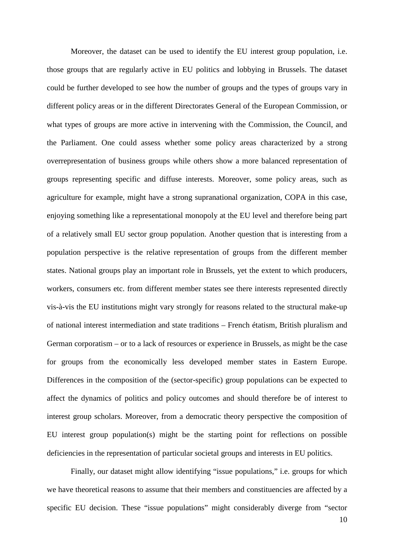Moreover, the dataset can be used to identify the EU interest group population, i.e. those groups that are regularly active in EU politics and lobbying in Brussels. The dataset could be further developed to see how the number of groups and the types of groups vary in different policy areas or in the different Directorates General of the European Commission, or what types of groups are more active in intervening with the Commission, the Council, and the Parliament. One could assess whether some policy areas characterized by a strong overrepresentation of business groups while others show a more balanced representation of groups representing specific and diffuse interests. Moreover, some policy areas, such as agriculture for example, might have a strong supranational organization, COPA in this case, enjoying something like a representational monopoly at the EU level and therefore being part of a relatively small EU sector group population. Another question that is interesting from a population perspective is the relative representation of groups from the different member states. National groups play an important role in Brussels, yet the extent to which producers, workers, consumers etc. from different member states see there interests represented directly vis-à-vis the EU institutions might vary strongly for reasons related to the structural make-up of national interest intermediation and state traditions – French étatism, British pluralism and German corporatism – or to a lack of resources or experience in Brussels, as might be the case for groups from the economically less developed member states in Eastern Europe. Differences in the composition of the (sector-specific) group populations can be expected to affect the dynamics of politics and policy outcomes and should therefore be of interest to interest group scholars. Moreover, from a democratic theory perspective the composition of EU interest group population(s) might be the starting point for reflections on possible deficiencies in the representation of particular societal groups and interests in EU politics.

Finally, our dataset might allow identifying "issue populations," i.e. groups for which we have theoretical reasons to assume that their members and constituencies are affected by a specific EU decision. These "issue populations" might considerably diverge from "sector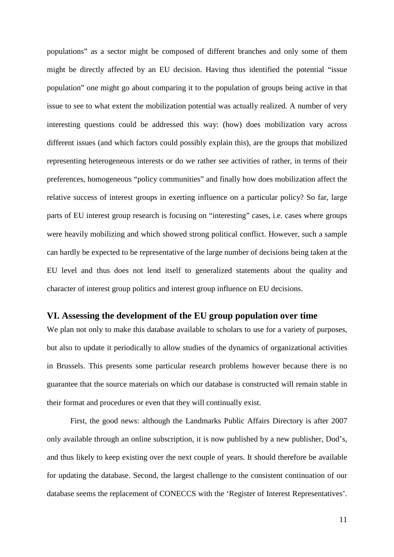populations" as a sector might be composed of different branches and only some of them might be directly affected by an EU decision. Having thus identified the potential "issue population" one might go about comparing it to the population of groups being active in that issue to see to what extent the mobilization potential was actually realized. A number of very interesting questions could be addressed this way: (how) does mobilization vary across different issues (and which factors could possibly explain this), are the groups that mobilized representing heterogeneous interests or do we rather see activities of rather, in terms of their preferences, homogeneous "policy communities" and finally how does mobilization affect the relative success of interest groups in exerting influence on a particular policy? So far, large parts of EU interest group research is focusing on "interesting" cases, i.e. cases where groups were heavily mobilizing and which showed strong political conflict. However, such a sample can hardly be expected to be representative of the large number of decisions being taken at the EU level and thus does not lend itself to generalized statements about the quality and character of interest group politics and interest group influence on EU decisions.

# **VI. Assessing the development of the EU group population over time**

We plan not only to make this database available to scholars to use for a variety of purposes, but also to update it periodically to allow studies of the dynamics of organizational activities in Brussels. This presents some particular research problems however because there is no guarantee that the source materials on which our database is constructed will remain stable in their format and procedures or even that they will continually exist.

First, the good news: although the Landmarks Public Affairs Directory is after 2007 only available through an online subscription, it is now published by a new publisher, Dod's, and thus likely to keep existing over the next couple of years. It should therefore be available for updating the database. Second, the largest challenge to the consistent continuation of our database seems the replacement of CONECCS with the 'Register of Interest Representatives'.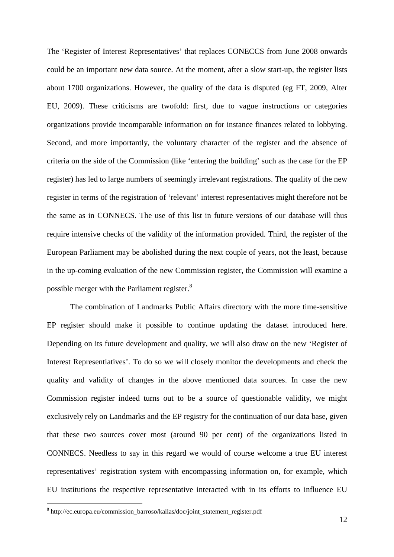The 'Register of Interest Representatives' that replaces CONECCS from June 2008 onwards could be an important new data source. At the moment, after a slow start-up, the register lists about 1700 organizations. However, the quality of the data is disputed (eg FT, 2009, Alter EU, 2009). These criticisms are twofold: first, due to vague instructions or categories organizations provide incomparable information on for instance finances related to lobbying. Second, and more importantly, the voluntary character of the register and the absence of criteria on the side of the Commission (like 'entering the building' such as the case for the EP register) has led to large numbers of seemingly irrelevant registrations. The quality of the new register in terms of the registration of 'relevant' interest representatives might therefore not be the same as in CONNECS. The use of this list in future versions of our database will thus require intensive checks of the validity of the information provided. Third, the register of the European Parliament may be abolished during the next couple of years, not the least, because in the up-coming evaluation of the new Commission register, the Commission will examine a possible merger with the Parliament register.<sup>8</sup>

The combination of Landmarks Public Affairs directory with the more time-sensitive EP register should make it possible to continue updating the dataset introduced here. Depending on its future development and quality, we will also draw on the new 'Register of Interest Representiatives'. To do so we will closely monitor the developments and check the quality and validity of changes in the above mentioned data sources. In case the new Commission register indeed turns out to be a source of questionable validity, we might exclusively rely on Landmarks and the EP registry for the continuation of our data base, given that these two sources cover most (around 90 per cent) of the organizations listed in CONNECS. Needless to say in this regard we would of course welcome a true EU interest representatives' registration system with encompassing information on, for example, which EU institutions the respective representative interacted with in its efforts to influence EU

 $\overline{a}$ 

<sup>8</sup> http://ec.europa.eu/commission\_barroso/kallas/doc/joint\_statement\_register.pdf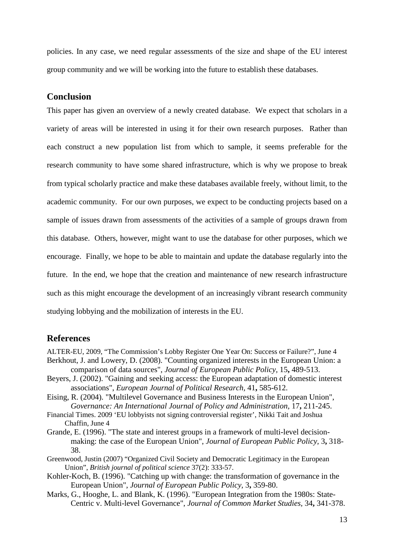policies. In any case, we need regular assessments of the size and shape of the EU interest group community and we will be working into the future to establish these databases.

# **Conclusion**

This paper has given an overview of a newly created database. We expect that scholars in a variety of areas will be interested in using it for their own research purposes. Rather than each construct a new population list from which to sample, it seems preferable for the research community to have some shared infrastructure, which is why we propose to break from typical scholarly practice and make these databases available freely, without limit, to the academic community. For our own purposes, we expect to be conducting projects based on a sample of issues drawn from assessments of the activities of a sample of groups drawn from this database. Others, however, might want to use the database for other purposes, which we encourage. Finally, we hope to be able to maintain and update the database regularly into the future. In the end, we hope that the creation and maintenance of new research infrastructure such as this might encourage the development of an increasingly vibrant research community studying lobbying and the mobilization of interests in the EU.

## **References**

- ALTER-EU, 2009, "The Commission's Lobby Register One Year On: Success or Failure?", June 4 Berkhout, J. and Lowery, D. (2008). "Counting organized interests in the European Union: a comparison of data sources", *Journal of European Public Policy,* 15**,** 489-513.
- Beyers, J. (2002). "Gaining and seeking access: the European adaptation of domestic interest associations", *European Journal of Political Research,* 41**,** 585-612.
- Eising, R. (2004). "Multilevel Governance and Business Interests in the European Union", *Governance: An International Journal of Policy and Administration,* 17**,** 211-245.
- Financial Times. 2009 'EU lobbyists not signing controversial register', Nikki Tait and Joshua Chaffin, June 4
- Grande, E. (1996). "The state and interest groups in a framework of multi-level decisionmaking: the case of the European Union", *Journal of European Public Policy,* 3**,** 318- 38.
- Greenwood, Justin (2007) "Organized Civil Society and Democratic Legitimacy in the European Union", *British journal of political science* 37(2): 333-57.
- Kohler-Koch, B. (1996). "Catching up with change: the transformation of governance in the European Union", *Journal of European Public Policy,* 3**,** 359-80.
- Marks, G., Hooghe, L. and Blank, K. (1996). "European Integration from the 1980s: State-Centric v. Multi-level Governance", *Journal of Common Market Studies,* 34**,** 341-378.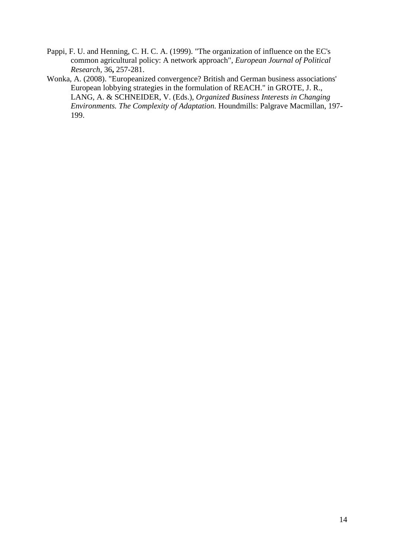- Pappi, F. U. and Henning, C. H. C. A. (1999). "The organization of influence on the EC's common agricultural policy: A network approach", *European Journal of Political Research,* 36**,** 257-281.
- Wonka, A. (2008). "Europeanized convergence? British and German business associations' European lobbying strategies in the formulation of REACH." in GROTE, J. R., LANG, A. & SCHNEIDER, V. (Eds.), *Organized Business Interests in Changing Environments. The Complexity of Adaptation.* Houndmills: Palgrave Macmillan, 197- 199.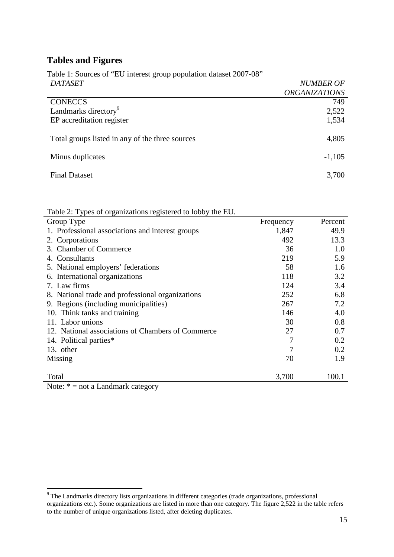# **Tables and Figures**

| <b>DATASET</b>                                  | <b>NUMBER OF</b>     |
|-------------------------------------------------|----------------------|
|                                                 | <b>ORGANIZATIONS</b> |
| <b>CONECCS</b>                                  | 749                  |
| Landmarks directory <sup>9</sup>                | 2,522                |
| EP accreditation register                       | 1,534                |
| Total groups listed in any of the three sources | 4,805                |
| Minus duplicates                                | $-1,105$             |
| <b>Final Dataset</b>                            | 3,700                |

Table 1: Sources of "EU interest group population dataset 2007-08"

Table 2: Types of organizations registered to lobby the EU.

| Group Type                                             | Frequency | Percent |
|--------------------------------------------------------|-----------|---------|
| 1. Professional associations and interest groups       | 1,847     | 49.9    |
| 2. Corporations                                        | 492       | 13.3    |
| 3. Chamber of Commerce                                 | 36        | 1.0     |
| 4. Consultants                                         | 219       | 5.9     |
| 5. National employers' federations                     | 58        | 1.6     |
| 6. International organizations                         | 118       | 3.2     |
| 7. Law firms                                           | 124       | 3.4     |
| 8. National trade and professional organizations       | 252       | 6.8     |
| 9. Regions (including municipalities)                  | 267       | 7.2     |
| 10. Think tanks and training                           | 146       | 4.0     |
| 11. Labor unions                                       | 30        | 0.8     |
| 12. National associations of Chambers of Commerce      | 27        | 0.7     |
| 14. Political parties*                                 | 7         | 0.2     |
| 13. other                                              | 7         | 0.2     |
| Missing                                                | 70        | 1.9     |
| Total                                                  | 3,700     | 100.1   |
| to be a final discount to see a state<br>$N_{\rm max}$ |           |         |

Note:  $* =$  not a Landmark category

<sup>&</sup>lt;sup>9</sup> The Landmarks directory lists organizations in different categories (trade organizations, professional organizations etc.). Some organizations are listed in more than one category. The figure 2,522 in the table refers to the number of unique organizations listed, after deleting duplicates.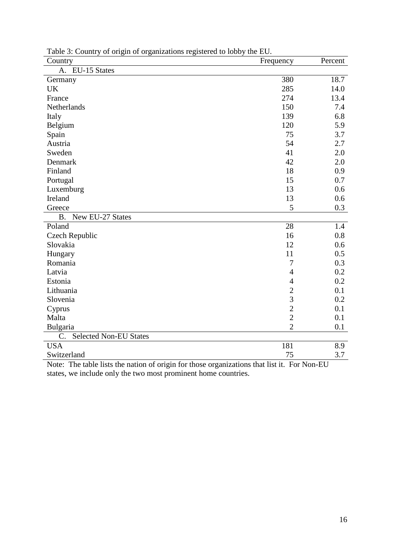| 380<br>18.7<br>Germany<br>285<br>14.0<br><b>UK</b><br>13.4<br>274<br>France<br>150<br>Netherlands<br>7.4<br>139<br>6.8<br>Italy<br>Belgium<br>120<br>5.9<br>75<br>3.7<br>Spain<br>54<br>2.7<br>Austria<br>41<br>2.0<br>Sweden<br>42<br>2.0<br>Denmark<br>Finland<br>18<br>0.9<br>15<br>Portugal<br>0.7<br>13<br>0.6<br>Luxemburg<br>Ireland<br>13<br>0.6<br>5<br>0.3<br>Greece<br>New EU-27 States<br><b>B.</b><br>28<br>Poland<br>1.4<br>0.8<br>Czech Republic<br>16<br>Slovakia<br>12<br>0.6<br>11<br>0.5<br>Hungary<br>Romania<br>7<br>0.3<br>Latvia<br>0.2<br>$\overline{4}$<br>0.2<br>Estonia<br>$\overline{4}$<br>$\overline{2}$<br>Lithuania<br>0.1<br>$\overline{3}$<br>0.2<br>Slovenia<br>$\overline{2}$<br>0.1<br>Cyprus<br>$\overline{2}$<br>0.1<br>Malta<br>$\overline{2}$<br>Bulgaria<br>0.1<br><b>Selected Non-EU States</b><br>C.<br><b>USA</b><br>181<br>8.9 | Country         | Frequency | Percent |
|------------------------------------------------------------------------------------------------------------------------------------------------------------------------------------------------------------------------------------------------------------------------------------------------------------------------------------------------------------------------------------------------------------------------------------------------------------------------------------------------------------------------------------------------------------------------------------------------------------------------------------------------------------------------------------------------------------------------------------------------------------------------------------------------------------------------------------------------------------------------------|-----------------|-----------|---------|
|                                                                                                                                                                                                                                                                                                                                                                                                                                                                                                                                                                                                                                                                                                                                                                                                                                                                              | A. EU-15 States |           |         |
|                                                                                                                                                                                                                                                                                                                                                                                                                                                                                                                                                                                                                                                                                                                                                                                                                                                                              |                 |           |         |
|                                                                                                                                                                                                                                                                                                                                                                                                                                                                                                                                                                                                                                                                                                                                                                                                                                                                              |                 |           |         |
|                                                                                                                                                                                                                                                                                                                                                                                                                                                                                                                                                                                                                                                                                                                                                                                                                                                                              |                 |           |         |
|                                                                                                                                                                                                                                                                                                                                                                                                                                                                                                                                                                                                                                                                                                                                                                                                                                                                              |                 |           |         |
|                                                                                                                                                                                                                                                                                                                                                                                                                                                                                                                                                                                                                                                                                                                                                                                                                                                                              |                 |           |         |
|                                                                                                                                                                                                                                                                                                                                                                                                                                                                                                                                                                                                                                                                                                                                                                                                                                                                              |                 |           |         |
|                                                                                                                                                                                                                                                                                                                                                                                                                                                                                                                                                                                                                                                                                                                                                                                                                                                                              |                 |           |         |
|                                                                                                                                                                                                                                                                                                                                                                                                                                                                                                                                                                                                                                                                                                                                                                                                                                                                              |                 |           |         |
|                                                                                                                                                                                                                                                                                                                                                                                                                                                                                                                                                                                                                                                                                                                                                                                                                                                                              |                 |           |         |
|                                                                                                                                                                                                                                                                                                                                                                                                                                                                                                                                                                                                                                                                                                                                                                                                                                                                              |                 |           |         |
|                                                                                                                                                                                                                                                                                                                                                                                                                                                                                                                                                                                                                                                                                                                                                                                                                                                                              |                 |           |         |
|                                                                                                                                                                                                                                                                                                                                                                                                                                                                                                                                                                                                                                                                                                                                                                                                                                                                              |                 |           |         |
|                                                                                                                                                                                                                                                                                                                                                                                                                                                                                                                                                                                                                                                                                                                                                                                                                                                                              |                 |           |         |
|                                                                                                                                                                                                                                                                                                                                                                                                                                                                                                                                                                                                                                                                                                                                                                                                                                                                              |                 |           |         |
|                                                                                                                                                                                                                                                                                                                                                                                                                                                                                                                                                                                                                                                                                                                                                                                                                                                                              |                 |           |         |
|                                                                                                                                                                                                                                                                                                                                                                                                                                                                                                                                                                                                                                                                                                                                                                                                                                                                              |                 |           |         |
|                                                                                                                                                                                                                                                                                                                                                                                                                                                                                                                                                                                                                                                                                                                                                                                                                                                                              |                 |           |         |
|                                                                                                                                                                                                                                                                                                                                                                                                                                                                                                                                                                                                                                                                                                                                                                                                                                                                              |                 |           |         |
|                                                                                                                                                                                                                                                                                                                                                                                                                                                                                                                                                                                                                                                                                                                                                                                                                                                                              |                 |           |         |
|                                                                                                                                                                                                                                                                                                                                                                                                                                                                                                                                                                                                                                                                                                                                                                                                                                                                              |                 |           |         |
|                                                                                                                                                                                                                                                                                                                                                                                                                                                                                                                                                                                                                                                                                                                                                                                                                                                                              |                 |           |         |
|                                                                                                                                                                                                                                                                                                                                                                                                                                                                                                                                                                                                                                                                                                                                                                                                                                                                              |                 |           |         |
|                                                                                                                                                                                                                                                                                                                                                                                                                                                                                                                                                                                                                                                                                                                                                                                                                                                                              |                 |           |         |
|                                                                                                                                                                                                                                                                                                                                                                                                                                                                                                                                                                                                                                                                                                                                                                                                                                                                              |                 |           |         |
|                                                                                                                                                                                                                                                                                                                                                                                                                                                                                                                                                                                                                                                                                                                                                                                                                                                                              |                 |           |         |
|                                                                                                                                                                                                                                                                                                                                                                                                                                                                                                                                                                                                                                                                                                                                                                                                                                                                              |                 |           |         |
|                                                                                                                                                                                                                                                                                                                                                                                                                                                                                                                                                                                                                                                                                                                                                                                                                                                                              |                 |           |         |
|                                                                                                                                                                                                                                                                                                                                                                                                                                                                                                                                                                                                                                                                                                                                                                                                                                                                              |                 |           |         |
|                                                                                                                                                                                                                                                                                                                                                                                                                                                                                                                                                                                                                                                                                                                                                                                                                                                                              |                 |           |         |
|                                                                                                                                                                                                                                                                                                                                                                                                                                                                                                                                                                                                                                                                                                                                                                                                                                                                              |                 |           |         |
|                                                                                                                                                                                                                                                                                                                                                                                                                                                                                                                                                                                                                                                                                                                                                                                                                                                                              | Switzerland     | 75        | 3.7     |

Table 3: Country of origin of organizations registered to lobby the EU.

Note: The table lists the nation of origin for those organizations that list it. For Non-EU states, we include only the two most prominent home countries.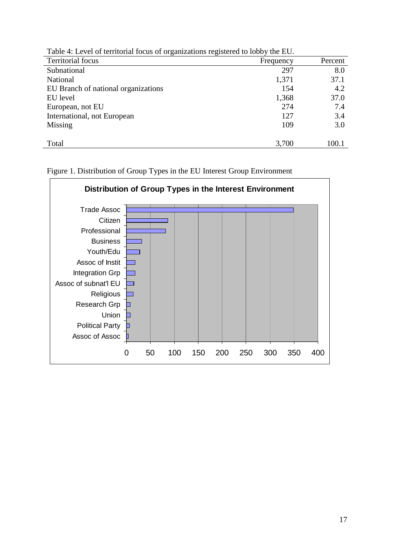| Table +. Level of territorial focus of organizations registered to folly the LO. |           |         |  |  |
|----------------------------------------------------------------------------------|-----------|---------|--|--|
| Territorial focus                                                                | Frequency | Percent |  |  |
| Subnational                                                                      | 297       | 8.0     |  |  |
| National                                                                         | 1,371     | 37.1    |  |  |
| EU Branch of national organizations                                              | 154       | 4.2     |  |  |
| EU level                                                                         | 1,368     | 37.0    |  |  |
| European, not EU                                                                 | 274       | 7.4     |  |  |
| International, not European                                                      | 127       | 3.4     |  |  |
| Missing                                                                          | 109       | 3.0     |  |  |
|                                                                                  |           |         |  |  |
| Total                                                                            | 3,700     | 100.1   |  |  |
|                                                                                  |           |         |  |  |

Table 4: Level of territorial focus of organizations registered to lobby the EU.

Figure 1. Distribution of Group Types in the EU Interest Group Environment

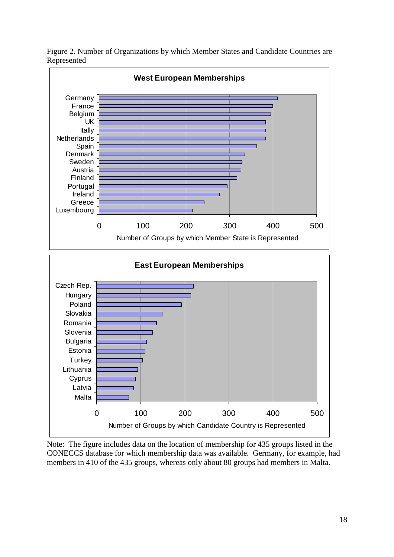

Figure 2. Number of Organizations by which Member States and Candidate Countries are Represented

Note: The figure includes data on the location of membership for 435 groups listed in the CONECCS database for which membership data was available. Germany, for example, had members in 410 of the 435 groups, whereas only about 80 groups had members in Malta.